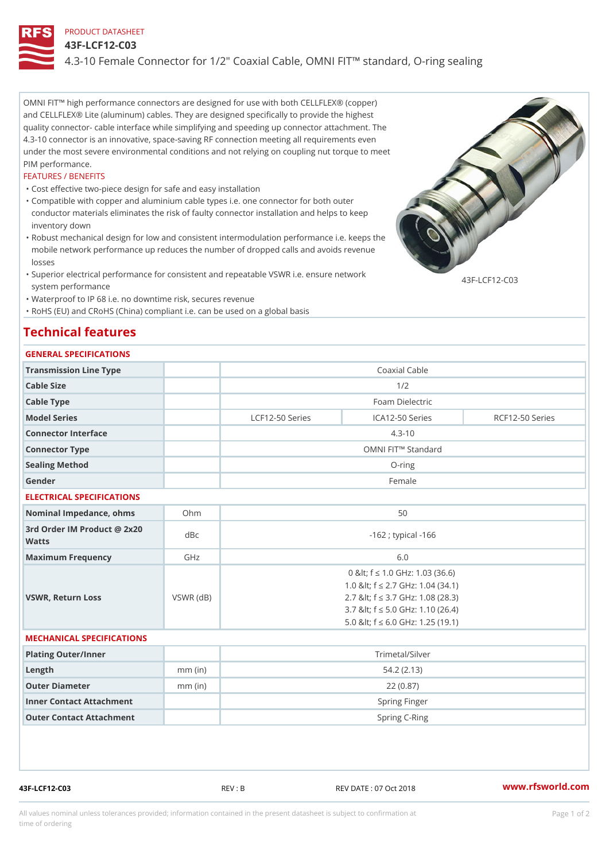### PRODUCT DATASHEET

### 43F-LCF12-C03

4.3-10 Female Connector for 1/2" Coaxial Cable, OMNI FIT!" standard,

OMNI FIT!" high performance connectors are designed for use with both CELLFLEX® (copper) and CELLFLEX® Lite (aluminum) cables. They are designed specifically to provide the highest quality connector- cable interface while simplifying and speeding up connector attachment. The 4.3-10 connector is an innovative, space-saving RF connection meeting all requirements even under the most severe environmental conditions and not relying on coupling nut torque to meet PIM performance.

#### FEATURES / BENEFITS

"Cost effective two-piece design for safe and easy installation

- Compatible with copper and aluminium cable types i.e. one connector for both outer " conductor materials eliminates the risk of faulty connector installation and helps to keep inventory down
- Robust mechanical design for low and consistent intermodulation performance i.e. keeps the " mobile network performance up reduces the number of dropped calls and avoids revenue losses
- Superior electrical performance for consistent and repeatable VSWR i.e. ensure network " 43F-LCF12-C03 system performance
- "Waterproof to IP 68 i.e. no downtime risk, secures revenue

"RoHS (EU) and CRoHS (China) compliant i.e. can be used on a global basis

# Technical features

#### GENERAL SPECIFICATIONS

| Transmission Line Type |                   | Coaxial Cable       |                 |  |
|------------------------|-------------------|---------------------|-----------------|--|
| Cable Size             |                   | 1/2                 |                 |  |
| Cable Type             |                   | Foam Dielectric     |                 |  |
| Model Series           | $LCF12-50$ Series | ICA12-50 Series     | RCF12-50 Series |  |
| Connector Interface    |                   | $4.3 - 10$          |                 |  |
| Connector Type         |                   | OMNI FIT!" Standard |                 |  |
| Sealing Method         |                   | $O$ -ring           |                 |  |
| Gender                 |                   | Female              |                 |  |

#### ELECTRICAL SPECIFICATIONS

| Nominal Impedance, ohins Ohm                |           | 50                                                                                                                                                                                              |
|---------------------------------------------|-----------|-------------------------------------------------------------------------------------------------------------------------------------------------------------------------------------------------|
| 3rd Order IM Product @ 2x20<br>dBc<br>Watts |           | $-162$ ; typical $-166$                                                                                                                                                                         |
| Maximum Frequency                           | GHz       | 6.0                                                                                                                                                                                             |
| VSWR, Return Loss                           | VSWR (dB) | 0 & It; f "d 1.0 G H z: 1.03 (36.6)<br>1.0 & It; f "d 2.7 GHz: 1.04 (34.1)<br>2.7 & It; f "d 3.7 GHz: 1.08 (28.3)<br>3.7 & It; f "d 5.0 GHz: 1.10 (26.4)<br>5.0 & It; f "d 6.0 GHz: 1.25 (19.1) |

#### MECHANICAL SPECIFICATIONS

| Plating Outer/Inner      |           | Trimetal/Silver |
|--------------------------|-----------|-----------------|
| Length                   | $mm$ (in) | 54.2(2.13)      |
| Outer Diameter           | $mm$ (in) | 22 (0.87)       |
| Inner Contact Attachment |           | Spring Finger   |
| Outer Contact Attachment |           | Spring C-Ring   |

43F-LCF12-C03 REV : B REV DATE : 07 Oct 2018 [www.](https://www.rfsworld.com)rfsworld.com